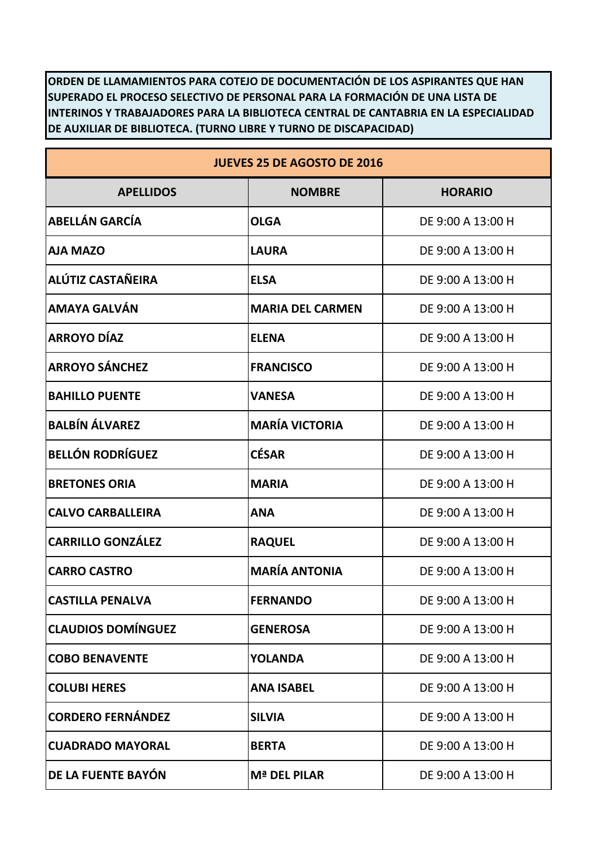**ORDEN DE LLAMAMIENTOS PARA COTEJO DE DOCUMENTACIÓN DE LOS ASPIRANTES QUE HAN SUPERADO EL PROCESO SELECTIVO DE PERSONAL PARA LA FORMACIÓN DE UNA LISTA DE INTERINOS Y TRABAJADORES PARA LA BIBLIOTECA CENTRAL DE CANTABRIA EN LA ESPECIALIDAD DE AUXILIAR DE BIBLIOTECA. (TURNO LIBRE Y TURNO DE DISCAPACIDAD)**

| <b>JUEVES 25 DE AGOSTO DE 2016</b> |                         |                   |  |
|------------------------------------|-------------------------|-------------------|--|
| <b>APELLIDOS</b>                   | <b>NOMBRE</b>           | <b>HORARIO</b>    |  |
| <b>ABELLÁN GARCÍA</b>              | <b>OLGA</b>             | DE 9:00 A 13:00 H |  |
| <b>AJA MAZO</b>                    | <b>LAURA</b>            | DE 9:00 A 13:00 H |  |
| <b>ALÚTIZ CASTAÑEIRA</b>           | <b>ELSA</b>             | DE 9:00 A 13:00 H |  |
| <b>AMAYA GALVÁN</b>                | <b>MARIA DEL CARMEN</b> | DE 9:00 A 13:00 H |  |
| <b>ARROYO DÍAZ</b>                 | <b>ELENA</b>            | DE 9:00 A 13:00 H |  |
| <b>ARROYO SÁNCHEZ</b>              | <b>FRANCISCO</b>        | DE 9:00 A 13:00 H |  |
| <b>BAHILLO PUENTE</b>              | <b>VANESA</b>           | DE 9:00 A 13:00 H |  |
| <b>BALBÍN ÁLVAREZ</b>              | <b>MARÍA VICTORIA</b>   | DE 9:00 A 13:00 H |  |
| <b>BELLÓN RODRÍGUEZ</b>            | <b>CÉSAR</b>            | DE 9:00 A 13:00 H |  |
| <b>BRETONES ORIA</b>               | <b>MARIA</b>            | DE 9:00 A 13:00 H |  |
| <b>CALVO CARBALLEIRA</b>           | <b>ANA</b>              | DE 9:00 A 13:00 H |  |
| <b>CARRILLO GONZÁLEZ</b>           | <b>RAQUEL</b>           | DE 9:00 A 13:00 H |  |
| <b>CARRO CASTRO</b>                | <b>MARÍA ANTONIA</b>    | DE 9:00 A 13:00 H |  |
| <b>CASTILLA PENALVA</b>            | <b>FERNANDO</b>         | DE 9:00 A 13:00 H |  |
| <b>CLAUDIOS DOMÍNGUEZ</b>          | <b>GENEROSA</b>         | DE 9:00 A 13:00 H |  |
| <b>COBO BENAVENTE</b>              | <b>YOLANDA</b>          | DE 9:00 A 13:00 H |  |
| <b>COLUBI HERES</b>                | <b>ANA ISABEL</b>       | DE 9:00 A 13:00 H |  |
| <b>CORDERO FERNÁNDEZ</b>           | <b>SILVIA</b>           | DE 9:00 A 13:00 H |  |
| <b>CUADRADO MAYORAL</b>            | <b>BERTA</b>            | DE 9:00 A 13:00 H |  |
| DE LA FUENTE BAYÓN                 | <b>Mª DEL PILAR</b>     | DE 9:00 A 13:00 H |  |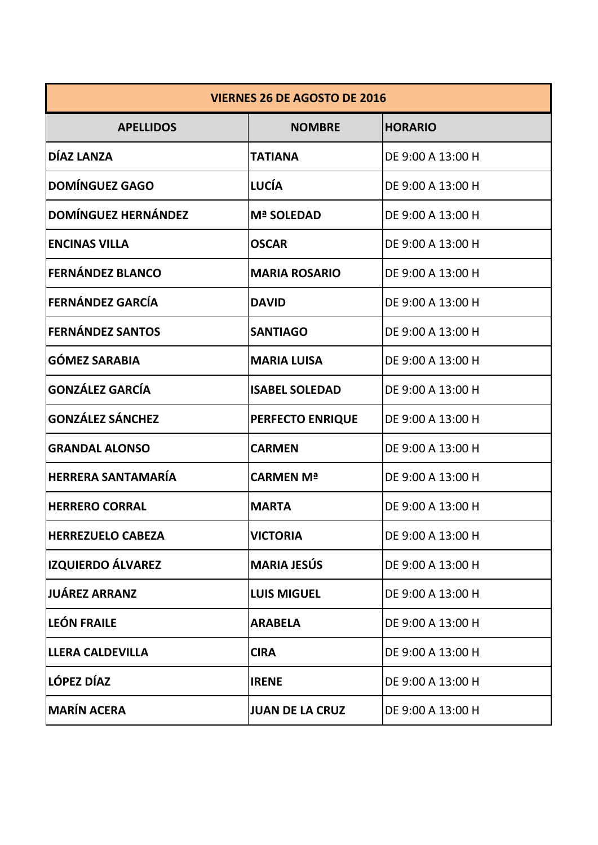| <b>VIERNES 26 DE AGOSTO DE 2016</b> |                        |                   |  |
|-------------------------------------|------------------------|-------------------|--|
| <b>APELLIDOS</b>                    | <b>NOMBRE</b>          | <b>HORARIO</b>    |  |
| DÍAZ LANZA                          | <b>TATIANA</b>         | DE 9:00 A 13:00 H |  |
| <b>DOMÍNGUEZ GAGO</b>               | <b>LUCÍA</b>           | DE 9:00 A 13:00 H |  |
| <b>DOMÍNGUEZ HERNÁNDEZ</b>          | <b>Mª SOLEDAD</b>      | DE 9:00 A 13:00 H |  |
| <b>ENCINAS VILLA</b>                | <b>OSCAR</b>           | DE 9:00 A 13:00 H |  |
| <b>FERNÁNDEZ BLANCO</b>             | <b>MARIA ROSARIO</b>   | DE 9:00 A 13:00 H |  |
| <b>FERNÁNDEZ GARCÍA</b>             | <b>DAVID</b>           | DE 9:00 A 13:00 H |  |
| <b>FERNÁNDEZ SANTOS</b>             | <b>SANTIAGO</b>        | DE 9:00 A 13:00 H |  |
| <b>GÓMEZ SARABIA</b>                | <b>MARIA LUISA</b>     | DE 9:00 A 13:00 H |  |
| <b>GONZÁLEZ GARCÍA</b>              | <b>ISABEL SOLEDAD</b>  | DE 9:00 A 13:00 H |  |
| <b>GONZÁLEZ SÁNCHEZ</b>             | PERFECTO ENRIQUE       | DE 9:00 A 13:00 H |  |
| <b>GRANDAL ALONSO</b>               | <b>CARMEN</b>          | DE 9:00 A 13:00 H |  |
| <b>HERRERA SANTAMARÍA</b>           | <b>CARMEN Mª</b>       | DE 9:00 A 13:00 H |  |
| <b>HERRERO CORRAL</b>               | <b>MARTA</b>           | DE 9:00 A 13:00 H |  |
| <b>HERREZUELO CABEZA</b>            | <b>VICTORIA</b>        | DE 9:00 A 13:00 H |  |
| <b>IZQUIERDO ÁLVAREZ</b>            | <b>MARIA JESÚS</b>     | DE 9:00 A 13:00 H |  |
| <b>JUÁREZ ARRANZ</b>                | <b>LUIS MIGUEL</b>     | DE 9:00 A 13:00 H |  |
| <b>LEÓN FRAILE</b>                  | <b>ARABELA</b>         | DE 9:00 A 13:00 H |  |
| <b>LLERA CALDEVILLA</b>             | <b>CIRA</b>            | DE 9:00 A 13:00 H |  |
| <b>LÓPEZ DÍAZ</b>                   | <b>IRENE</b>           | DE 9:00 A 13:00 H |  |
| <b>MARÍN ACERA</b>                  | <b>JUAN DE LA CRUZ</b> | DE 9:00 A 13:00 H |  |